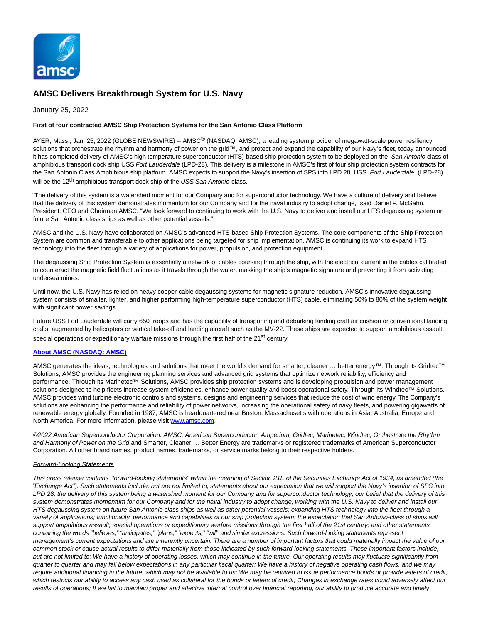

# **AMSC Delivers Breakthrough System for U.S. Navy**

January 25, 2022

## **First of four contracted AMSC Ship Protection Systems for the San Antonio Class Platform**

AYER, Mass., Jan. 25, 2022 (GLOBE NEWSWIRE) -- AMSC<sup>®</sup> (NASDAQ: AMSC), a leading system provider of megawatt-scale power resiliency solutions that orchestrate the rhythm and harmony of power on the grid™, and protect and expand the capability of our Navy's fleet, today announced it has completed delivery of AMSC's high temperature superconductor (HTS)-based ship protection system to be deployed on the San Antonio class of amphibious transport dock ship USS Fort Lauderdale (LPD-28). This delivery is a milestone in AMSC's first of four ship protection system contracts for the San Antonio Class Amphibious ship platform. AMSC expects to support the Navy's insertion of SPS into LPD 28. USS Fort Lauderdale. (LPD-28) will be the 12<sup>th</sup> amphibious transport dock ship of the USS San Antonio-class.

"The delivery of this system is a watershed moment for our Company and for superconductor technology. We have a culture of delivery and believe that the delivery of this system demonstrates momentum for our Company and for the naval industry to adopt change," said Daniel P. McGahn, President, CEO and Chairman AMSC. "We look forward to continuing to work with the U.S. Navy to deliver and install our HTS degaussing system on future San Antonio class ships as well as other potential vessels."

AMSC and the U.S. Navy have collaborated on AMSC's advanced HTS-based Ship Protection Systems. The core components of the Ship Protection System are common and transferable to other applications being targeted for ship implementation. AMSC is continuing its work to expand HTS technology into the fleet through a variety of applications for power, propulsion, and protection equipment.

The degaussing Ship Protection System is essentially a network of cables coursing through the ship, with the electrical current in the cables calibrated to counteract the magnetic field fluctuations as it travels through the water, masking the ship's magnetic signature and preventing it from activating undersea mines.

Until now, the U.S. Navy has relied on heavy copper-cable degaussing systems for magnetic signature reduction. AMSC's innovative degaussing system consists of smaller, lighter, and higher performing high-temperature superconductor (HTS) cable, eliminating 50% to 80% of the system weight with significant power savings.

Future USS Fort Lauderdale will carry 650 troops and has the capability of transporting and debarking landing craft air cushion or conventional landing crafts, augmented by helicopters or vertical take-off and landing aircraft such as the MV-22. These ships are expected to support amphibious assault, special operations or expeditionary warfare missions through the first half of the 21<sup>st</sup> century.

## **[About AMSC \(NASDAQ: AMSC\)](https://www.globenewswire.com/Tracker?data=g6ucmbD2ZB78GQJHxuubzKhllzGSeLXR8bmMFD67WyJIcfIbspHYPEhKLQ3ykt_YDWHmoQTWuCdjGrn6vN16Sfp7zlQfRLVCDyWAIVxrejo=)**

AMSC generates the ideas, technologies and solutions that meet the world's demand for smarter, cleaner ... better energy™. Through its Gridtec™ Solutions, AMSC provides the engineering planning services and advanced grid systems that optimize network reliability, efficiency and performance. Through its Marinetec™ Solutions, AMSC provides ship protection systems and is developing propulsion and power management solutions designed to help fleets increase system efficiencies, enhance power quality and boost operational safety. Through its Windtec™ Solutions, AMSC provides wind turbine electronic controls and systems, designs and engineering services that reduce the cost of wind energy. The Company's solutions are enhancing the performance and reliability of power networks, increasing the operational safety of navy fleets, and powering gigawatts of renewable energy globally. Founded in 1987, AMSC is headquartered near Boston, Massachusetts with operations in Asia, Australia, Europe and North America. For more information, please visi[t www.amsc.com.](https://www.globenewswire.com/Tracker?data=0kRWmOrDeqtm6aF0At7sZl3AJdazBw-tqGjMvd_XoEbnVp_ZGH-u_5heE5Mx6q6pAedwPKE-HW6MyoFDdVOWhw==)

©2022 American Superconductor Corporation. AMSC, American Superconductor, Amperium, Gridtec, Marinetec, Windtec, Orchestrate the Rhythm and Harmony of Power on the Grid and Smarter, Cleaner … Better Energy are trademarks or registered trademarks of American Superconductor Corporation. All other brand names, product names, trademarks, or service marks belong to their respective holders.

#### Forward-Looking Statements

This press release contains "forward-looking statements" within the meaning of Section 21E of the Securities Exchange Act of 1934, as amended (the "Exchange Act"). Such statements include, but are not limited to, statements about our expectation that we will support the Navy's insertion of SPS into LPD 28; the delivery of this system being a watershed moment for our Company and for superconductor technology; our belief that the delivery of this system demonstrates momentum for our Company and for the naval industry to adopt change; working with the U.S. Navy to deliver and install our HTS degaussing system on future San Antonio class ships as well as other potential vessels; expanding HTS technology into the fleet through a variety of applications; functionality, performance and capabilities of our ship protection system; the expectation that San Antonio-class of ships will support amphibious assault, special operations or expeditionary warfare missions through the first half of the 21st century; and other statements containing the words "believes," "anticipates," "plans," "expects," "will" and similar expressions. Such forward-looking statements represent management's current expectations and are inherently uncertain. There are a number of important factors that could materially impact the value of our common stock or cause actual results to differ materially from those indicated by such forward-looking statements. These important factors include, but are not limited to: We have a history of operating losses, which may continue in the future. Our operating results may fluctuate significantly from quarter to quarter and may fall below expectations in any particular fiscal quarter; We have a history of negative operating cash flows, and we may require additional financing in the future, which may not be available to us; We may be required to issue performance bonds or provide letters of credit, which restricts our ability to access any cash used as collateral for the bonds or letters of credit; Changes in exchange rates could adversely affect our results of operations; If we fail to maintain proper and effective internal control over financial reporting, our ability to produce accurate and timely